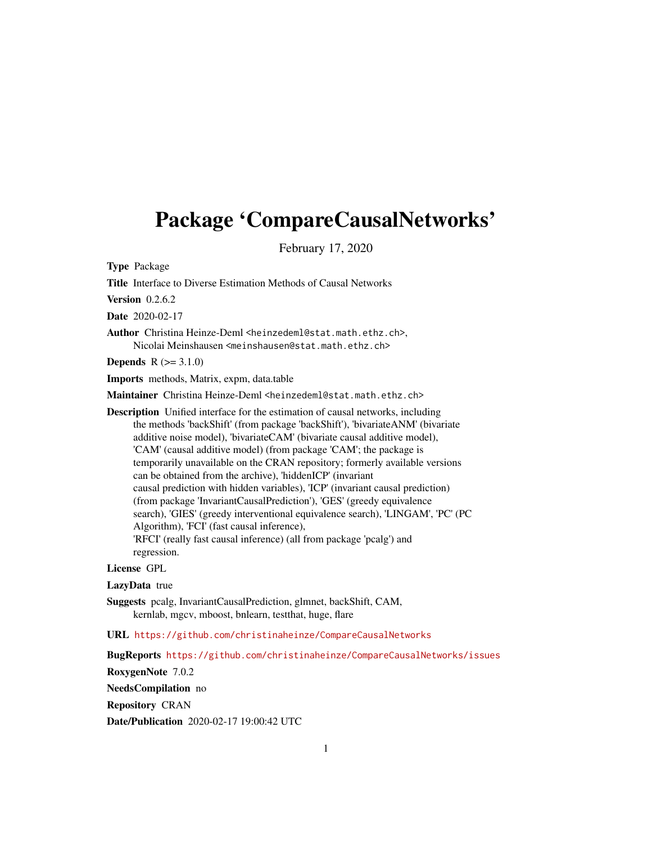## Package 'CompareCausalNetworks'

February 17, 2020

Type Package

Title Interface to Diverse Estimation Methods of Causal Networks

**Version** 0.2.6.2

Date 2020-02-17

Author Christina Heinze-Deml <heinzedeml@stat.math.ethz.ch>, Nicolai Meinshausen <meinshausen@stat.math.ethz.ch>

**Depends**  $R (= 3.1.0)$ 

Imports methods, Matrix, expm, data.table

Maintainer Christina Heinze-Deml <heinzedeml@stat.math.ethz.ch>

Description Unified interface for the estimation of causal networks, including the methods 'backShift' (from package 'backShift'), 'bivariateANM' (bivariate additive noise model), 'bivariateCAM' (bivariate causal additive model), 'CAM' (causal additive model) (from package 'CAM'; the package is temporarily unavailable on the CRAN repository; formerly available versions can be obtained from the archive), 'hiddenICP' (invariant causal prediction with hidden variables), 'ICP' (invariant causal prediction) (from package 'InvariantCausalPrediction'), 'GES' (greedy equivalence search), 'GIES' (greedy interventional equivalence search), 'LINGAM', 'PC' (PC Algorithm), 'FCI' (fast causal inference), 'RFCI' (really fast causal inference) (all from package 'pcalg') and regression.

#### License GPL

LazyData true

Suggests pcalg, InvariantCausalPrediction, glmnet, backShift, CAM, kernlab, mgcv, mboost, bnlearn, testthat, huge, flare

URL <https://github.com/christinaheinze/CompareCausalNetworks>

BugReports <https://github.com/christinaheinze/CompareCausalNetworks/issues>

RoxygenNote 7.0.2

NeedsCompilation no

Repository CRAN

Date/Publication 2020-02-17 19:00:42 UTC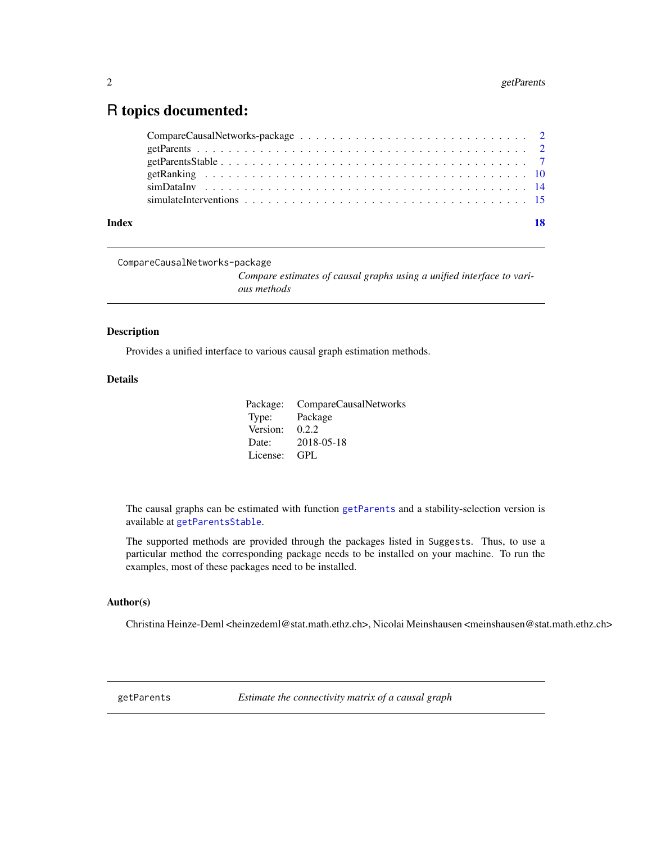### <span id="page-1-0"></span>R topics documented:

| Index |  |
|-------|--|

```
CompareCausalNetworks-package
                          Compare estimates of causal graphs using a unified interface to vari-
                          ous methods
```
#### Description

Provides a unified interface to various causal graph estimation methods.

#### Details

|          | Package: CompareCausalNetworks |
|----------|--------------------------------|
| Type:    | Package                        |
| Version: | 0.2.2                          |
| Date:    | 2018-05-18                     |
| License: | - GPL                          |

The causal graphs can be estimated with function [getParents](#page-1-1) and a stability-selection version is available at [getParentsStable](#page-6-1).

The supported methods are provided through the packages listed in Suggests. Thus, to use a particular method the corresponding package needs to be installed on your machine. To run the examples, most of these packages need to be installed.

#### Author(s)

Christina Heinze-Deml <heinzedeml@stat.math.ethz.ch>, Nicolai Meinshausen <meinshausen@stat.math.ethz.ch>

<span id="page-1-1"></span>getParents *Estimate the connectivity matrix of a causal graph*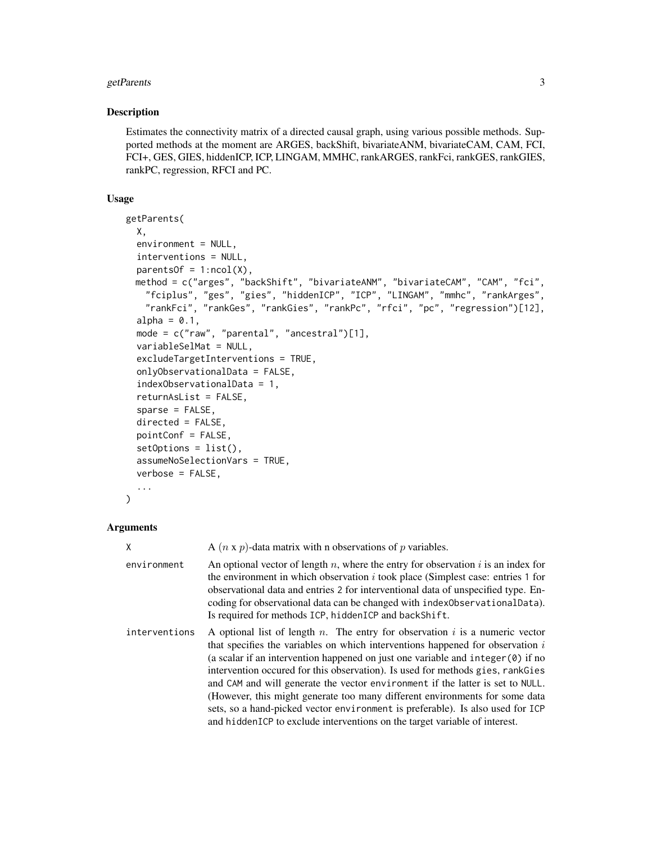#### getParents 3

#### Description

Estimates the connectivity matrix of a directed causal graph, using various possible methods. Supported methods at the moment are ARGES, backShift, bivariateANM, bivariateCAM, CAM, FCI, FCI+, GES, GIES, hiddenICP, ICP, LINGAM, MMHC, rankARGES, rankFci, rankGES, rankGIES, rankPC, regression, RFCI and PC.

#### Usage

```
getParents(
 X,
  environment = NULL,
  interventions = NULL,
  parentsOf = 1:ncol(X),method = c("arges", "backShift", "bivariateANM", "bivariateCAM", "CAM", "fci",
   "fciplus", "ges", "gies", "hiddenICP", "ICP", "LINGAM", "mmhc", "rankArges",
   "rankFci", "rankGes", "rankGies", "rankPc", "rfci", "pc", "regression")[12],
  alpha = 0.1,
  mode = c("raw", "parental", "ancestral")[1],
  variableSelMat = NULL,
  excludeTargetInterventions = TRUE,
  onlyObservationalData = FALSE,
  indexObservationalData = 1,
  returnAsList = FALSE,
  sparse = FALSE,directed = FALSE,
 pointConf = FALSE,
  setOptions = list(),
  assumeNoSelectionVars = TRUE,
  verbose = FALSE,
  ...
)
```

| X             | A $(n \times p)$ -data matrix with n observations of p variables.                                                                                                                                                                                                                                                                                                                                                                                                                                                                                                                                                                                                                |
|---------------|----------------------------------------------------------------------------------------------------------------------------------------------------------------------------------------------------------------------------------------------------------------------------------------------------------------------------------------------------------------------------------------------------------------------------------------------------------------------------------------------------------------------------------------------------------------------------------------------------------------------------------------------------------------------------------|
| environment   | An optional vector of length $n$ , where the entry for observation $i$ is an index for<br>the environment in which observation $i$ took place (Simplest case: entries 1 for<br>observational data and entries 2 for interventional data of unspecified type. En-<br>coding for observational data can be changed with index Observational Data).<br>Is required for methods ICP, hiddenICP and backShift.                                                                                                                                                                                                                                                                        |
| interventions | A optional list of length $n$ . The entry for observation $i$ is a numeric vector<br>that specifies the variables on which interventions happened for observation is<br>(a scalar if an intervention happened on just one variable and integer $(0)$ if no<br>intervention occurred for this observation). Is used for methods gies, rank Gies<br>and CAM and will generate the vector environment if the latter is set to NULL.<br>(However, this might generate too many different environments for some data<br>sets, so a hand-picked vector environment is preferable). Is also used for ICP<br>and hidden ICP to exclude interventions on the target variable of interest. |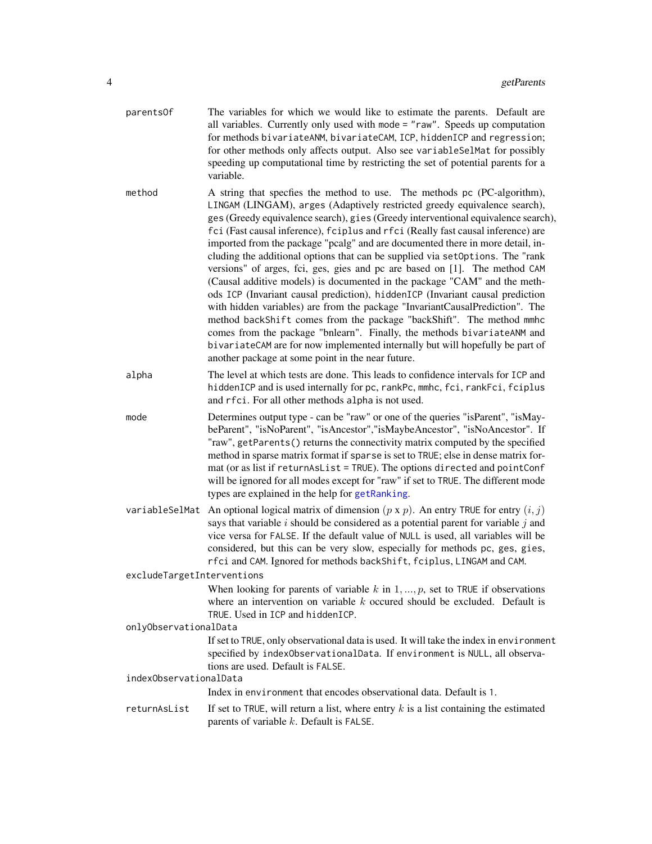<span id="page-3-0"></span>

| parents0f                  | The variables for which we would like to estimate the parents. Default are<br>all variables. Currently only used with mode = "raw". Speeds up computation<br>for methods bivariateANM, bivariateCAM, ICP, hiddenICP and regression;<br>for other methods only affects output. Also see variableSelMat for possibly<br>speeding up computational time by restricting the set of potential parents for a<br>variable.                                                                                                                                                                                                                                                                                                                                                                                                                                                                                                                                                                                                                                                                                                    |
|----------------------------|------------------------------------------------------------------------------------------------------------------------------------------------------------------------------------------------------------------------------------------------------------------------------------------------------------------------------------------------------------------------------------------------------------------------------------------------------------------------------------------------------------------------------------------------------------------------------------------------------------------------------------------------------------------------------------------------------------------------------------------------------------------------------------------------------------------------------------------------------------------------------------------------------------------------------------------------------------------------------------------------------------------------------------------------------------------------------------------------------------------------|
| method                     | A string that specfies the method to use. The methods pc (PC-algorithm),<br>LINGAM (LINGAM), arges (Adaptively restricted greedy equivalence search),<br>ges (Greedy equivalence search), gies (Greedy interventional equivalence search),<br>fci (Fast causal inference), fciplus and rfci (Really fast causal inference) are<br>imported from the package "pcalg" and are documented there in more detail, in-<br>cluding the additional options that can be supplied via setOptions. The "rank<br>versions" of arges, fci, ges, gies and pc are based on [1]. The method CAM<br>(Causal additive models) is documented in the package "CAM" and the meth-<br>ods ICP (Invariant causal prediction), hiddenICP (Invariant causal prediction<br>with hidden variables) are from the package "InvariantCausalPrediction". The<br>method backShift comes from the package "backShift". The method mmhc<br>comes from the package "bnlearn". Finally, the methods bivariateANM and<br>bivariateCAM are for now implemented internally but will hopefully be part of<br>another package at some point in the near future. |
| alpha                      | The level at which tests are done. This leads to confidence intervals for ICP and<br>hiddenICP and is used internally for pc, rankPc, mmhc, fci, rankFci, fciplus<br>and rfci. For all other methods alpha is not used.                                                                                                                                                                                                                                                                                                                                                                                                                                                                                                                                                                                                                                                                                                                                                                                                                                                                                                |
| mode                       | Determines output type - can be "raw" or one of the queries "isParent", "isMay-<br>beParent", "isNoParent", "isAncestor","isMaybeAncestor", "isNoAncestor". If<br>"raw", getParents() returns the connectivity matrix computed by the specified<br>method in sparse matrix format if sparse is set to TRUE; else in dense matrix for-<br>mat (or as list if returnAsList = TRUE). The options directed and pointConf<br>will be ignored for all modes except for "raw" if set to TRUE. The different mode<br>types are explained in the help for getRanking.                                                                                                                                                                                                                                                                                                                                                                                                                                                                                                                                                           |
|                            | variable SelMat An optional logical matrix of dimension $(p \times p)$ . An entry TRUE for entry $(i, j)$<br>says that variable $i$ should be considered as a potential parent for variable $j$ and<br>vice versa for FALSE. If the default value of NULL is used, all variables will be<br>considered, but this can be very slow, especially for methods pc, ges, gies,<br>rfci and CAM. Ignored for methods backShift, fciplus, LINGAM and CAM.                                                                                                                                                                                                                                                                                                                                                                                                                                                                                                                                                                                                                                                                      |
| excludeTargetInterventions |                                                                                                                                                                                                                                                                                                                                                                                                                                                                                                                                                                                                                                                                                                                                                                                                                                                                                                                                                                                                                                                                                                                        |
|                            | When looking for parents of variable $k$ in $1, , p$ , set to TRUE if observations<br>where an intervention on variable $k$ occurred should be excluded. Default is<br>TRUE. Used in ICP and hiddenICP.                                                                                                                                                                                                                                                                                                                                                                                                                                                                                                                                                                                                                                                                                                                                                                                                                                                                                                                |
| onlyObservationalData      |                                                                                                                                                                                                                                                                                                                                                                                                                                                                                                                                                                                                                                                                                                                                                                                                                                                                                                                                                                                                                                                                                                                        |
|                            | If set to TRUE, only observational data is used. It will take the index in environment<br>specified by indexObservationalData. If environment is NULL, all observa-<br>tions are used. Default is FALSE.                                                                                                                                                                                                                                                                                                                                                                                                                                                                                                                                                                                                                                                                                                                                                                                                                                                                                                               |
| indexObservationalData     | Index in environment that encodes observational data. Default is 1.                                                                                                                                                                                                                                                                                                                                                                                                                                                                                                                                                                                                                                                                                                                                                                                                                                                                                                                                                                                                                                                    |
| returnAsList               | If set to TRUE, will return a list, where entry $k$ is a list containing the estimated<br>parents of variable $k$ . Default is FALSE.                                                                                                                                                                                                                                                                                                                                                                                                                                                                                                                                                                                                                                                                                                                                                                                                                                                                                                                                                                                  |
|                            |                                                                                                                                                                                                                                                                                                                                                                                                                                                                                                                                                                                                                                                                                                                                                                                                                                                                                                                                                                                                                                                                                                                        |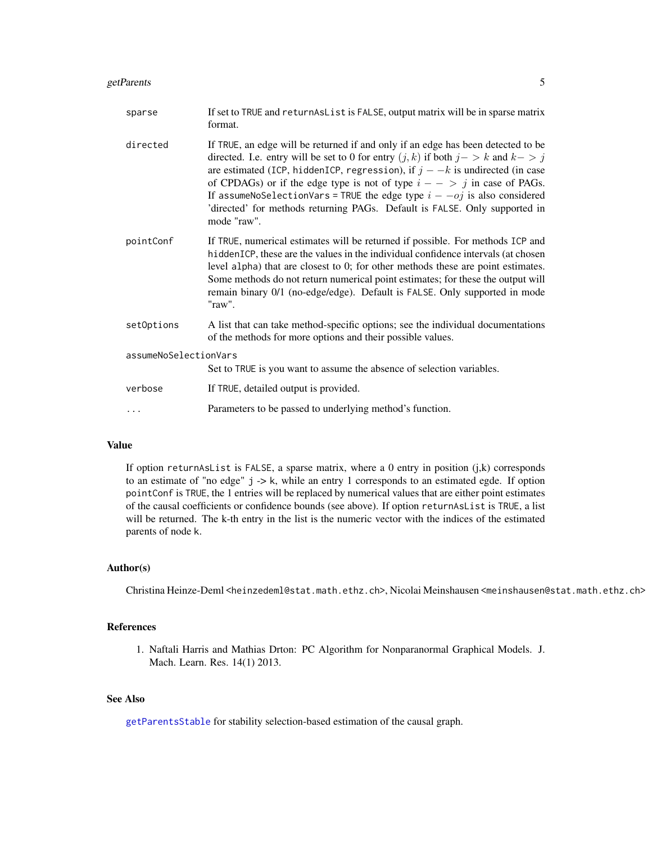#### <span id="page-4-0"></span>getParents 5

| sparse                | If set to TRUE and returnAsList is FALSE, output matrix will be in sparse matrix<br>format.                                                                                                                                                                                                                                                                                                                                                                                                                                     |
|-----------------------|---------------------------------------------------------------------------------------------------------------------------------------------------------------------------------------------------------------------------------------------------------------------------------------------------------------------------------------------------------------------------------------------------------------------------------------------------------------------------------------------------------------------------------|
| directed              | If TRUE, an edge will be returned if and only if an edge has been detected to be<br>directed. I.e. entry will be set to 0 for entry $(j, k)$ if both $j - > k$ and $k - > j$<br>are estimated (ICP, hiddenICP, regression), if $j - -k$ is undirected (in case<br>of CPDAGs) or if the edge type is not of type $i - - \frac{1}{2}$ in case of PAGs.<br>If assumeNoSelectionVars = TRUE the edge type $i - -oj$ is also considered<br>'directed' for methods returning PAGs. Default is FALSE. Only supported in<br>mode "raw". |
| pointConf             | If TRUE, numerical estimates will be returned if possible. For methods ICP and<br>hiddenICP, these are the values in the individual confidence intervals (at chosen<br>level alpha) that are closest to 0; for other methods these are point estimates.<br>Some methods do not return numerical point estimates; for these the output will<br>remain binary 0/1 (no-edge/edge). Default is FALSE. Only supported in mode<br>"raw".                                                                                              |
| setOptions            | A list that can take method-specific options; see the individual documentations<br>of the methods for more options and their possible values.                                                                                                                                                                                                                                                                                                                                                                                   |
| assumeNoSelectionVars |                                                                                                                                                                                                                                                                                                                                                                                                                                                                                                                                 |
|                       | Set to TRUE is you want to assume the absence of selection variables.                                                                                                                                                                                                                                                                                                                                                                                                                                                           |
| verbose               | If TRUE, detailed output is provided.                                                                                                                                                                                                                                                                                                                                                                                                                                                                                           |
|                       | Parameters to be passed to underlying method's function.                                                                                                                                                                                                                                                                                                                                                                                                                                                                        |

#### Value

If option returnAsList is FALSE, a sparse matrix, where a 0 entry in position (j,k) corresponds to an estimate of "no edge" j -> k, while an entry 1 corresponds to an estimated egde. If option pointConf is TRUE, the 1 entries will be replaced by numerical values that are either point estimates of the causal coefficients or confidence bounds (see above). If option returnAsList is TRUE, a list will be returned. The k-th entry in the list is the numeric vector with the indices of the estimated parents of node k.

#### Author(s)

Christina Heinze-Deml <heinzedeml@stat.math.ethz.ch>, Nicolai Meinshausen <meinshausen@stat.math.ethz.ch>

#### References

1. Naftali Harris and Mathias Drton: PC Algorithm for Nonparanormal Graphical Models. J. Mach. Learn. Res. 14(1) 2013.

#### See Also

[getParentsStable](#page-6-1) for stability selection-based estimation of the causal graph.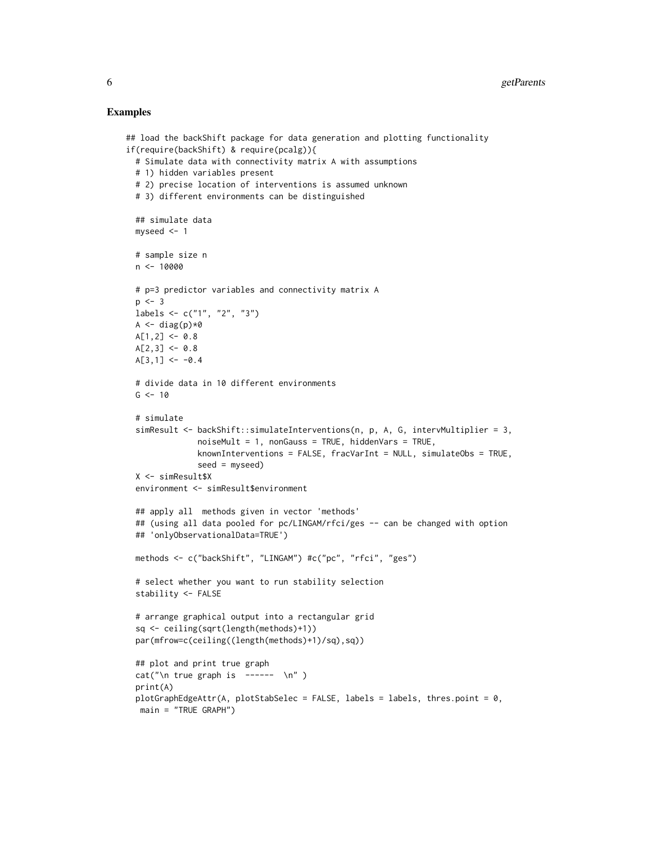#### Examples

```
## load the backShift package for data generation and plotting functionality
if(require(backShift) & require(pcalg)){
 # Simulate data with connectivity matrix A with assumptions
 # 1) hidden variables present
 # 2) precise location of interventions is assumed unknown
 # 3) different environments can be distinguished
 ## simulate data
 myseed <-1# sample size n
 n <- 10000
 # p=3 predictor variables and connectivity matrix A
 p \le -3labels <- c("1", "2", "3")
 A \leftarrow diag(p) * 0A[1,2] <- 0.8
 A[2,3] <- 0.8
 A[3,1] <- -0.4
 # divide data in 10 different environments
 G < -10# simulate
 simResult \leq backShift::simulateInterventions(n, p, A, G, intervMultiplier = 3,
               noiseMult = 1, nonGauss = TRUE, hiddenVars = TRUE,
              knownInterventions = FALSE, frac{VarInt = NULL, simulateObs = TRUE,seed = myseed)
 X <- simResult$X
 environment <- simResult$environment
 ## apply all methods given in vector 'methods'
 ## (using all data pooled for pc/LINGAM/rfci/ges -- can be changed with option
 ## 'onlyObservationalData=TRUE')
 methods <- c("backShift", "LINGAM") #c("pc", "rfci", "ges")
 # select whether you want to run stability selection
 stability <- FALSE
 # arrange graphical output into a rectangular grid
 sq <- ceiling(sqrt(length(methods)+1))
 par(mfrow=c(ceiling((length(methods)+1)/sq),sq))
 ## plot and print true graph
 cat("\n n true graph is -----\n n")print(A)
 plotGraphEdgeAttr(A, plotStabSelec = FALSE, labels = labels, thres.point = 0,
  main = "TRUE GRAPH")
```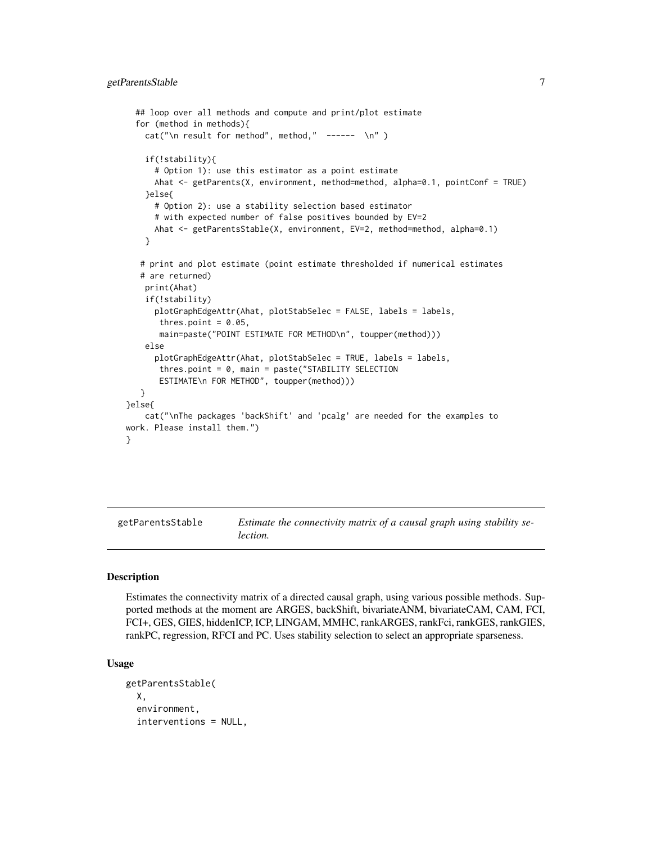```
## loop over all methods and compute and print/plot estimate
 for (method in methods){
   cat("\n result for method", method," ------ \n")
    if(!stability){
     # Option 1): use this estimator as a point estimate
     Ahat <- getParents(X, environment, method=method, alpha=0.1, pointConf = TRUE)
    }else{
     # Option 2): use a stability selection based estimator
     # with expected number of false positives bounded by EV=2
     Ahat <- getParentsStable(X, environment, EV=2, method=method, alpha=0.1)
    }
   # print and plot estimate (point estimate thresholded if numerical estimates
   # are returned)
   print(Ahat)
   if(!stability)
     plotGraphEdgeAttr(Ahat, plotStabSelec = FALSE, labels = labels,
      thres.point = 0.05,
      main=paste("POINT ESTIMATE FOR METHOD\n", toupper(method)))
   else
     plotGraphEdgeAttr(Ahat, plotStabSelec = TRUE, labels = labels,
      thres.point = 0, main = paste("STABILITY SELECTION
      ESTIMATE\n FOR METHOD", toupper(method)))
  }
}else{
    cat("\nThe packages 'backShift' and 'pcalg' are needed for the examples to
work. Please install them.")
```
<span id="page-6-1"></span>getParentsStable *Estimate the connectivity matrix of a causal graph using stability selection.*

#### **Description**

}

Estimates the connectivity matrix of a directed causal graph, using various possible methods. Supported methods at the moment are ARGES, backShift, bivariateANM, bivariateCAM, CAM, FCI, FCI+, GES, GIES, hiddenICP, ICP, LINGAM, MMHC, rankARGES, rankFci, rankGES, rankGIES, rankPC, regression, RFCI and PC. Uses stability selection to select an appropriate sparseness.

#### Usage

```
getParentsStable(
  X,
  environment,
  interventions = NULL,
```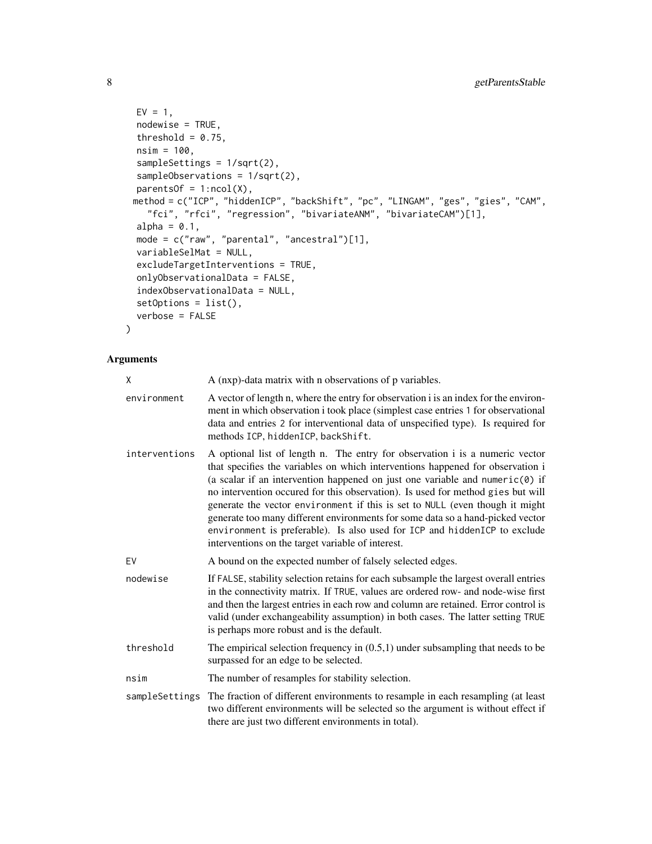```
EV = 1,nodewise = TRUE,
 threshold = 0.75,
 nsim = 100,
  sampleSettings = 1/sqrt(2),
  sampleObservations = 1/sqrt(2),
 parentsOf = 1:ncol(X),method = c("ICP", "hiddenICP", "backShift", "pc", "LINGAM", "ges", "gies", "CAM",
    "fci", "rfci", "regression", "bivariateANM", "bivariateCAM")[1],
  alpha = 0.1,
 mode = c("raw", "parental", "ancestral")[1],
 variableSelMat = NULL,
 excludeTargetInterventions = TRUE,
 onlyObservationalData = FALSE,
  indexObservationalData = NULL,
  setOptions = list(),
 verbose = FALSE
\mathcal{L}
```

| χ              | A (nxp)-data matrix with n observations of p variables.                                                                                                                                                                                                                                                                                                                                                                                                                                                                                                                                                                                  |
|----------------|------------------------------------------------------------------------------------------------------------------------------------------------------------------------------------------------------------------------------------------------------------------------------------------------------------------------------------------------------------------------------------------------------------------------------------------------------------------------------------------------------------------------------------------------------------------------------------------------------------------------------------------|
| environment    | A vector of length n, where the entry for observation i is an index for the environ-<br>ment in which observation i took place (simplest case entries 1 for observational<br>data and entries 2 for interventional data of unspecified type). Is required for<br>methods ICP, hiddenICP, backShift.                                                                                                                                                                                                                                                                                                                                      |
| interventions  | A optional list of length n. The entry for observation i is a numeric vector<br>that specifies the variables on which interventions happened for observation i<br>(a scalar if an intervention happened on just one variable and numeric $(0)$ if<br>no intervention occured for this observation). Is used for method gies but will<br>generate the vector environment if this is set to NULL (even though it might<br>generate too many different environments for some data so a hand-picked vector<br>environment is preferable). Is also used for ICP and hiddenICP to exclude<br>interventions on the target variable of interest. |
| EV             | A bound on the expected number of falsely selected edges.                                                                                                                                                                                                                                                                                                                                                                                                                                                                                                                                                                                |
| nodewise       | If FALSE, stability selection retains for each subsample the largest overall entries<br>in the connectivity matrix. If TRUE, values are ordered row- and node-wise first<br>and then the largest entries in each row and column are retained. Error control is<br>valid (under exchangeability assumption) in both cases. The latter setting TRUE<br>is perhaps more robust and is the default.                                                                                                                                                                                                                                          |
| threshold      | The empirical selection frequency in $(0.5,1)$ under subsampling that needs to be<br>surpassed for an edge to be selected.                                                                                                                                                                                                                                                                                                                                                                                                                                                                                                               |
| nsim           | The number of resamples for stability selection.                                                                                                                                                                                                                                                                                                                                                                                                                                                                                                                                                                                         |
| sampleSettings | The fraction of different environments to resample in each resampling (at least<br>two different environments will be selected so the argument is without effect if<br>there are just two different environments in total).                                                                                                                                                                                                                                                                                                                                                                                                              |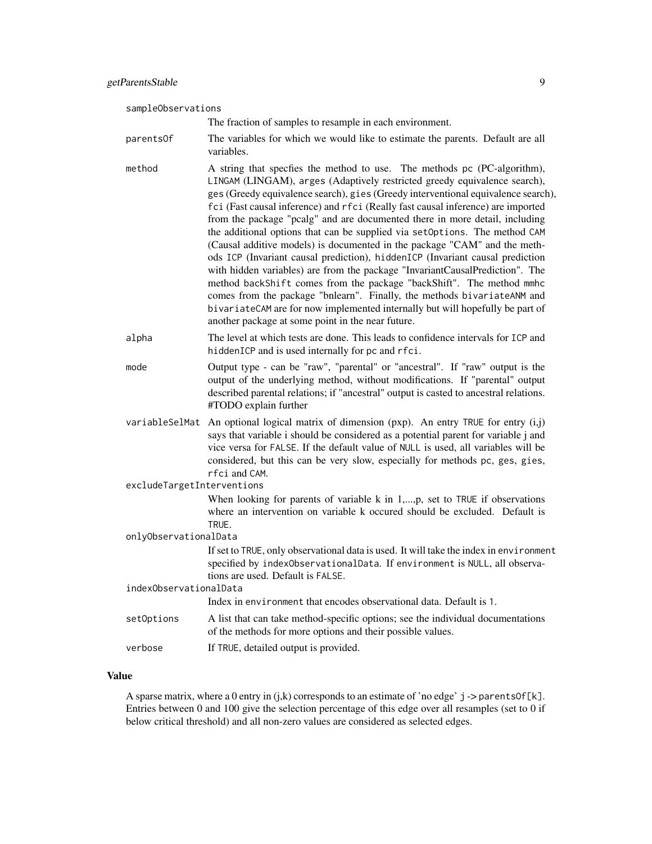sampleObservations

The fraction of samples to resample in each environment.

- parentsOf The variables for which we would like to estimate the parents. Default are all variables.
- method A string that specfies the method to use. The methods pc (PC-algorithm), LINGAM (LINGAM), arges (Adaptively restricted greedy equivalence search), ges (Greedy equivalence search), gies (Greedy interventional equivalence search), fci (Fast causal inference) and rfci (Really fast causal inference) are imported from the package "pcalg" and are documented there in more detail, including the additional options that can be supplied via setOptions. The method CAM (Causal additive models) is documented in the package "CAM" and the methods ICP (Invariant causal prediction), hiddenICP (Invariant causal prediction with hidden variables) are from the package "InvariantCausalPrediction". The method backShift comes from the package "backShift". The method mmhc comes from the package "bnlearn". Finally, the methods bivariateANM and bivariateCAM are for now implemented internally but will hopefully be part of another package at some point in the near future.
- alpha The level at which tests are done. This leads to confidence intervals for ICP and hiddenICP and is used internally for pc and rfci.
- mode Output type can be "raw", "parental" or "ancestral". If "raw" output is the output of the underlying method, without modifications. If "parental" output described parental relations; if "ancestral" output is casted to ancestral relations. #TODO explain further
- variableSelMat An optional logical matrix of dimension (pxp). An entry TRUE for entry (i,j) says that variable i should be considered as a potential parent for variable j and vice versa for FALSE. If the default value of NULL is used, all variables will be considered, but this can be very slow, especially for methods pc, ges, gies, rfci and CAM.

excludeTargetInterventions

When looking for parents of variable k in  $1,...,p$ , set to TRUE if observations where an intervention on variable k occured should be excluded. Default is TRUE.

onlyObservationalData

If set to TRUE, only observational data is used. It will take the index in environment specified by indexObservationalData. If environment is NULL, all observations are used. Default is FALSE.

| indexObservationalData                     |  |
|--------------------------------------------|--|
| $\mathbf{T} = \mathbf{A}$ , and the second |  |

Index in environment that encodes observational data. Default is 1.

- setOptions A list that can take method-specific options; see the individual documentations of the methods for more options and their possible values.
- verbose If TRUE, detailed output is provided.

#### Value

A sparse matrix, where a 0 entry in  $(j,k)$  corresponds to an estimate of 'no edge'  $j$  -> parentsOf[k]. Entries between 0 and 100 give the selection percentage of this edge over all resamples (set to 0 if below critical threshold) and all non-zero values are considered as selected edges.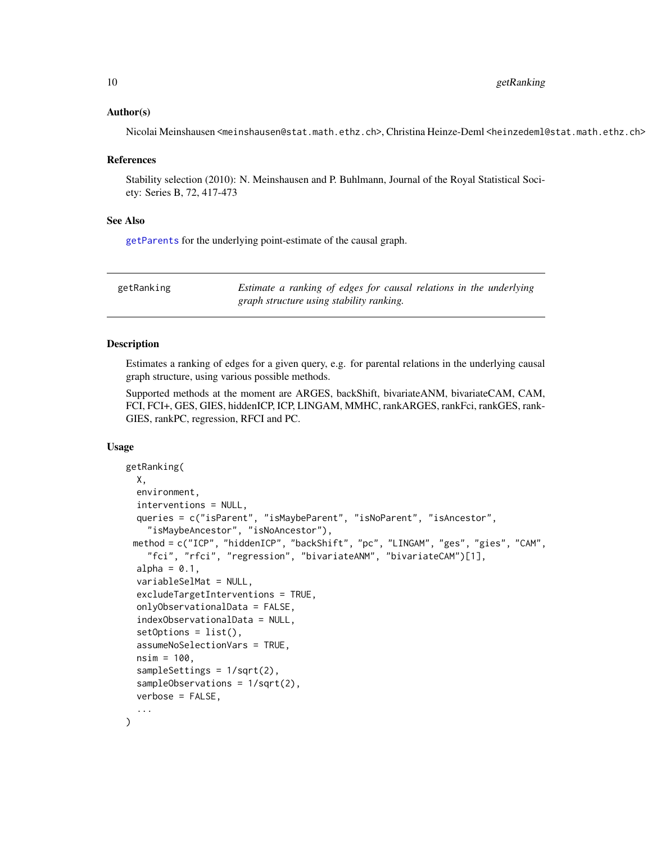#### <span id="page-9-0"></span>Author(s)

Nicolai Meinshausen <meinshausen@stat.math.ethz.ch>, Christina Heinze-Deml <heinzedeml@stat.math.ethz.ch>

#### References

Stability selection (2010): N. Meinshausen and P. Buhlmann, Journal of the Royal Statistical Society: Series B, 72, 417-473

#### See Also

[getParents](#page-1-1) for the underlying point-estimate of the causal graph.

<span id="page-9-1"></span>

| getRanking |                                          |  |  | Estimate a ranking of edges for causal relations in the underlying |
|------------|------------------------------------------|--|--|--------------------------------------------------------------------|
|            | graph structure using stability ranking. |  |  |                                                                    |

#### Description

Estimates a ranking of edges for a given query, e.g. for parental relations in the underlying causal graph structure, using various possible methods.

Supported methods at the moment are ARGES, backShift, bivariateANM, bivariateCAM, CAM, FCI, FCI+, GES, GIES, hiddenICP, ICP, LINGAM, MMHC, rankARGES, rankFci, rankGES, rank-GIES, rankPC, regression, RFCI and PC.

#### Usage

```
getRanking(
 X,
  environment,
  interventions = NULL,
  queries = c("isParent", "isMaybeParent", "isNoParent", "isAncestor",
    "isMaybeAncestor", "isNoAncestor"),
 method = c("ICP", "hiddenICP", "backShift", "pc", "LINGAM", "ges", "gies", "CAM",
    "fci", "rfci", "regression", "bivariateANM", "bivariateCAM")[1],
  alpha = 0.1,
  variableSelMat = NULL,
  excludeTargetInterventions = TRUE,
  onlyObservationalData = FALSE,
  indexObservationalData = NULL,
  setOptions = list(),assumeNoSelectionVars = TRUE,
  nsim = 100.
  sampleSettings = 1/sqrt(2),
  sampleObservations = 1/sqrt(2),
  verbose = FALSE,
  ...
)
```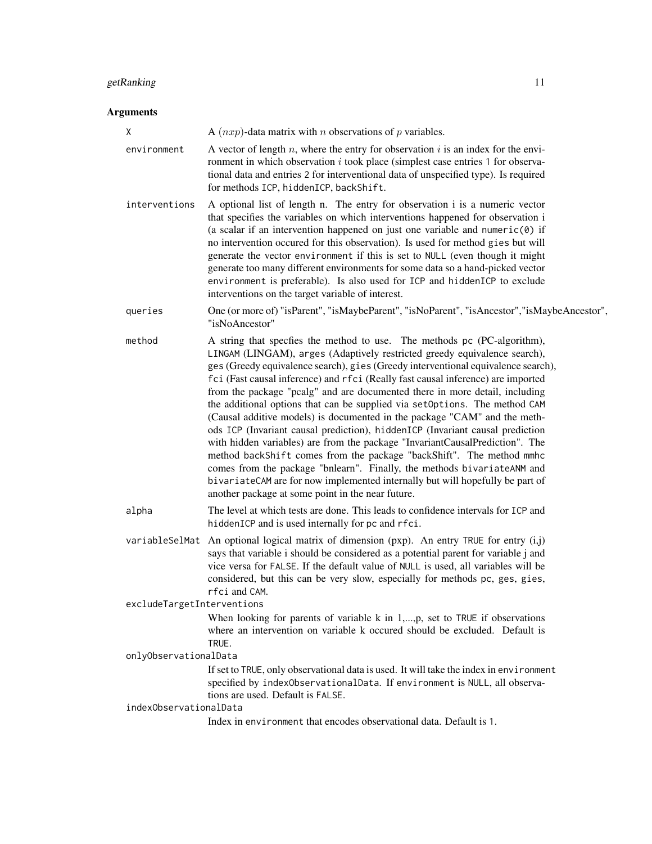#### getRanking 11

| Χ                          | A $(nxp)$ -data matrix with <i>n</i> observations of <i>p</i> variables.                                                                                                                                                                                                                                                                                                                                                                                                                                                                                                                                                                                                                                                                                                                                                                                                                                                                                                                                                           |
|----------------------------|------------------------------------------------------------------------------------------------------------------------------------------------------------------------------------------------------------------------------------------------------------------------------------------------------------------------------------------------------------------------------------------------------------------------------------------------------------------------------------------------------------------------------------------------------------------------------------------------------------------------------------------------------------------------------------------------------------------------------------------------------------------------------------------------------------------------------------------------------------------------------------------------------------------------------------------------------------------------------------------------------------------------------------|
| environment                | A vector of length $n$ , where the entry for observation $i$ is an index for the envi-<br>ronment in which observation $i$ took place (simplest case entries 1 for observa-<br>tional data and entries 2 for interventional data of unspecified type). Is required<br>for methods ICP, hiddenICP, backShift.                                                                                                                                                                                                                                                                                                                                                                                                                                                                                                                                                                                                                                                                                                                       |
| interventions              | A optional list of length n. The entry for observation i is a numeric vector<br>that specifies the variables on which interventions happened for observation i<br>(a scalar if an intervention happened on just one variable and numeric(0) if<br>no intervention occured for this observation). Is used for method gies but will<br>generate the vector environment if this is set to NULL (even though it might<br>generate too many different environments for some data so a hand-picked vector<br>environment is preferable). Is also used for ICP and hiddenICP to exclude<br>interventions on the target variable of interest.                                                                                                                                                                                                                                                                                                                                                                                              |
| queries                    | One (or more of) "isParent", "isMaybeParent", "isNoParent", "isAncestor", "isMaybeAncestor",<br>"isNoAncestor"                                                                                                                                                                                                                                                                                                                                                                                                                                                                                                                                                                                                                                                                                                                                                                                                                                                                                                                     |
| method                     | A string that specfies the method to use. The methods pc (PC-algorithm),<br>LINGAM (LINGAM), arges (Adaptively restricted greedy equivalence search),<br>ges (Greedy equivalence search), gies (Greedy interventional equivalence search),<br>fci (Fast causal inference) and rfci (Really fast causal inference) are imported<br>from the package "pcalg" and are documented there in more detail, including<br>the additional options that can be supplied via setOptions. The method CAM<br>(Causal additive models) is documented in the package "CAM" and the meth-<br>ods ICP (Invariant causal prediction), hiddenICP (Invariant causal prediction<br>with hidden variables) are from the package "InvariantCausalPrediction". The<br>method backShift comes from the package "backShift". The method mmhc<br>comes from the package "bnlearn". Finally, the methods bivariateANM and<br>bivariateCAM are for now implemented internally but will hopefully be part of<br>another package at some point in the near future. |
| alpha                      | The level at which tests are done. This leads to confidence intervals for ICP and<br>hiddenICP and is used internally for pc and rfci.                                                                                                                                                                                                                                                                                                                                                                                                                                                                                                                                                                                                                                                                                                                                                                                                                                                                                             |
|                            | variableSelMat An optional logical matrix of dimension (pxp). An entry TRUE for entry (i,j)<br>says that variable i should be considered as a potential parent for variable j and<br>vice versa for FALSE. If the default value of NULL is used, all variables will be<br>considered, but this can be very slow, especially for methods pc, ges, gies,<br>rfci and CAM.                                                                                                                                                                                                                                                                                                                                                                                                                                                                                                                                                                                                                                                            |
| excludeTargetInterventions |                                                                                                                                                                                                                                                                                                                                                                                                                                                                                                                                                                                                                                                                                                                                                                                                                                                                                                                                                                                                                                    |
|                            | When looking for parents of variable $k$ in 1,,p, set to TRUE if observations<br>where an intervention on variable k occured should be excluded. Default is<br>TRUE.                                                                                                                                                                                                                                                                                                                                                                                                                                                                                                                                                                                                                                                                                                                                                                                                                                                               |
| onlyObservationalData      |                                                                                                                                                                                                                                                                                                                                                                                                                                                                                                                                                                                                                                                                                                                                                                                                                                                                                                                                                                                                                                    |
|                            | If set to TRUE, only observational data is used. It will take the index in environment<br>specified by indexObservationalData. If environment is NULL, all observa-<br>tions are used. Default is FALSE.                                                                                                                                                                                                                                                                                                                                                                                                                                                                                                                                                                                                                                                                                                                                                                                                                           |
| indexObservationalData     | Index in environment that encodes observational data. Default is 1.                                                                                                                                                                                                                                                                                                                                                                                                                                                                                                                                                                                                                                                                                                                                                                                                                                                                                                                                                                |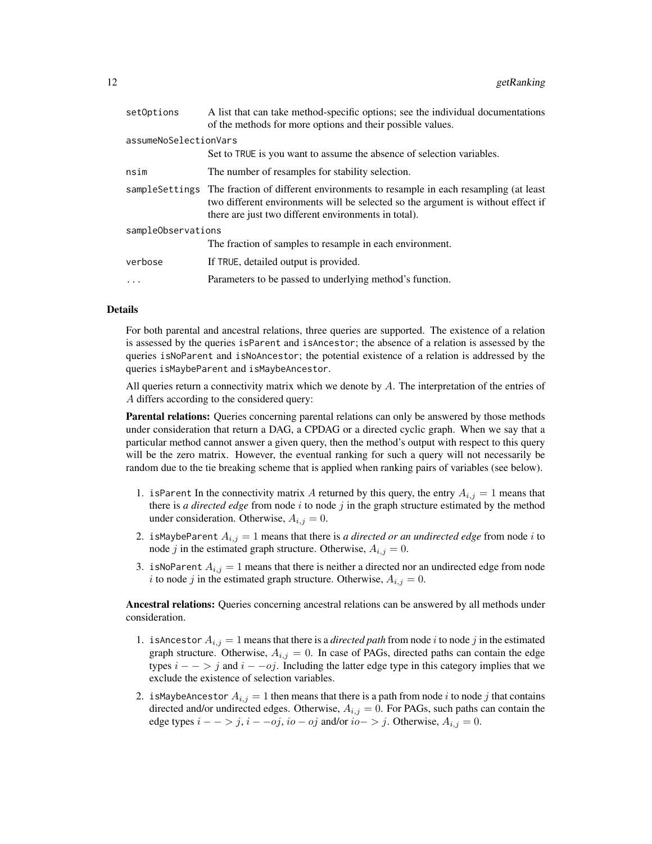| setOptions            | A list that can take method-specific options; see the individual documentations<br>of the methods for more options and their possible values.                                                                                               |
|-----------------------|---------------------------------------------------------------------------------------------------------------------------------------------------------------------------------------------------------------------------------------------|
| assumeNoSelectionVars |                                                                                                                                                                                                                                             |
|                       | Set to TRUE is you want to assume the absence of selection variables.                                                                                                                                                                       |
| nsim                  | The number of resamples for stability selection.                                                                                                                                                                                            |
|                       | sample Settings The fraction of different environments to resample in each resampling (at least<br>two different environments will be selected so the argument is without effect if<br>there are just two different environments in total). |
| sampleObservations    |                                                                                                                                                                                                                                             |
|                       | The fraction of samples to resample in each environment.                                                                                                                                                                                    |
| verbose               | If TRUE, detailed output is provided.                                                                                                                                                                                                       |
| $\ddots$              | Parameters to be passed to underlying method's function.                                                                                                                                                                                    |
|                       |                                                                                                                                                                                                                                             |

#### Details

For both parental and ancestral relations, three queries are supported. The existence of a relation is assessed by the queries isParent and isAncestor; the absence of a relation is assessed by the queries isNoParent and isNoAncestor; the potential existence of a relation is addressed by the queries isMaybeParent and isMaybeAncestor.

All queries return a connectivity matrix which we denote by  $A$ . The interpretation of the entries of A differs according to the considered query:

Parental relations: Queries concerning parental relations can only be answered by those methods under consideration that return a DAG, a CPDAG or a directed cyclic graph. When we say that a particular method cannot answer a given query, then the method's output with respect to this query will be the zero matrix. However, the eventual ranking for such a query will not necessarily be random due to the tie breaking scheme that is applied when ranking pairs of variables (see below).

- 1. is Parent In the connectivity matrix A returned by this query, the entry  $A_{i,j} = 1$  means that there is *a directed edge* from node  $i$  to node  $j$  in the graph structure estimated by the method under consideration. Otherwise,  $A_{i,j} = 0$ .
- 2. is Maybe Parent  $A_{i,j} = 1$  means that there is *a directed or an undirected edge* from node *i* to node j in the estimated graph structure. Otherwise,  $A_{i,j} = 0$ .
- 3. isNoParent  $A_{i,j} = 1$  means that there is neither a directed nor an undirected edge from node i to node j in the estimated graph structure. Otherwise,  $A_{i,j} = 0$ .

Ancestral relations: Queries concerning ancestral relations can be answered by all methods under consideration.

- 1. is Ancestor  $A_{i,j} = 1$  means that there is a *directed path* from node i to node j in the estimated graph structure. Otherwise,  $A_{i,j} = 0$ . In case of PAGs, directed paths can contain the edge types  $i - \frac{1}{2}$  and  $i - \frac{1}{2}$ . Including the latter edge type in this category implies that we exclude the existence of selection variables.
- 2. is MaybeAncestor  $A_{i,j} = 1$  then means that there is a path from node i to node j that contains directed and/or undirected edges. Otherwise,  $A_{i,j} = 0$ . For PAGs, such paths can contain the edge types  $i - \frac{1}{2}$ ,  $i - \frac{obj}{2}$ ,  $io - \frac{obj}{2}$  and/or  $io - \frac{1}{2}$ . Otherwise,  $A_{i,j} = 0$ .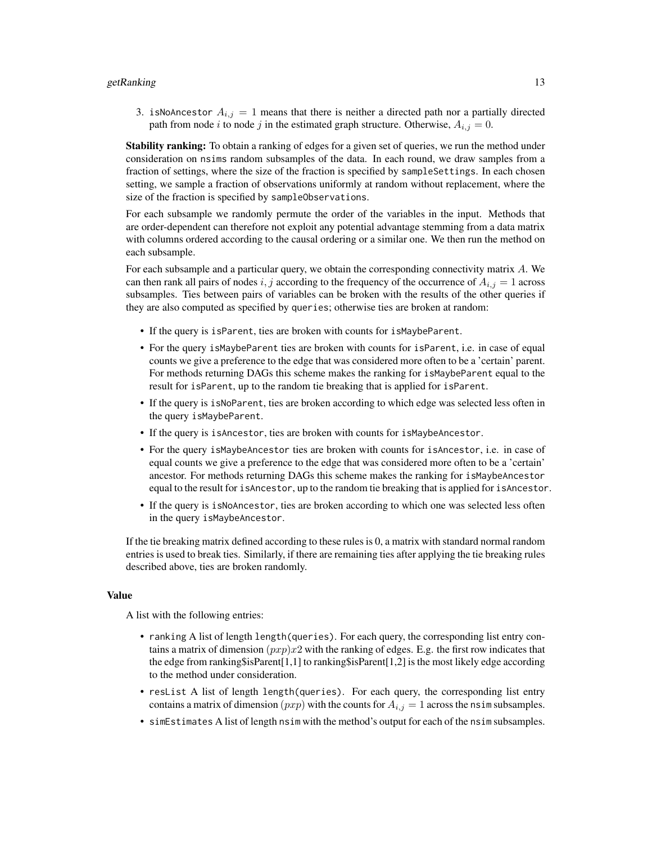#### getRanking 13

3. isNoAncestor  $A_{i,j} = 1$  means that there is neither a directed path nor a partially directed path from node i to node j in the estimated graph structure. Otherwise,  $A_{i,j} = 0$ .

**Stability ranking:** To obtain a ranking of edges for a given set of queries, we run the method under consideration on nsims random subsamples of the data. In each round, we draw samples from a fraction of settings, where the size of the fraction is specified by sampleSettings. In each chosen setting, we sample a fraction of observations uniformly at random without replacement, where the size of the fraction is specified by sampleObservations.

For each subsample we randomly permute the order of the variables in the input. Methods that are order-dependent can therefore not exploit any potential advantage stemming from a data matrix with columns ordered according to the causal ordering or a similar one. We then run the method on each subsample.

For each subsample and a particular query, we obtain the corresponding connectivity matrix A. We can then rank all pairs of nodes i, j according to the frequency of the occurrence of  $A_{i,j} = 1$  across subsamples. Ties between pairs of variables can be broken with the results of the other queries if they are also computed as specified by queries; otherwise ties are broken at random:

- If the query is isParent, ties are broken with counts for isMaybeParent.
- For the query isMaybeParent ties are broken with counts for isParent, i.e. in case of equal counts we give a preference to the edge that was considered more often to be a 'certain' parent. For methods returning DAGs this scheme makes the ranking for isMaybeParent equal to the result for isParent, up to the random tie breaking that is applied for isParent.
- If the query is isNoParent, ties are broken according to which edge was selected less often in the query isMaybeParent.
- If the query is isAncestor, ties are broken with counts for isMaybeAncestor.
- For the query isMaybeAncestor ties are broken with counts for isAncestor, i.e. in case of equal counts we give a preference to the edge that was considered more often to be a 'certain' ancestor. For methods returning DAGs this scheme makes the ranking for isMaybeAncestor equal to the result for isAncestor, up to the random tie breaking that is applied for isAncestor.
- If the query is isNoAncestor, ties are broken according to which one was selected less often in the query isMaybeAncestor.

If the tie breaking matrix defined according to these rules is 0, a matrix with standard normal random entries is used to break ties. Similarly, if there are remaining ties after applying the tie breaking rules described above, ties are broken randomly.

#### Value

A list with the following entries:

- ranking A list of length length(queries). For each query, the corresponding list entry contains a matrix of dimension  $(pxp)x2$  with the ranking of edges. E.g. the first row indicates that the edge from ranking\$isParent[1,1] to ranking\$isParent[1,2] is the most likely edge according to the method under consideration.
- resList A list of length length(queries). For each query, the corresponding list entry contains a matrix of dimension  $(pxp)$  with the counts for  $A_{i,j} = 1$  across the nsim subsamples.
- simEstimates A list of length nsim with the method's output for each of the nsim subsamples.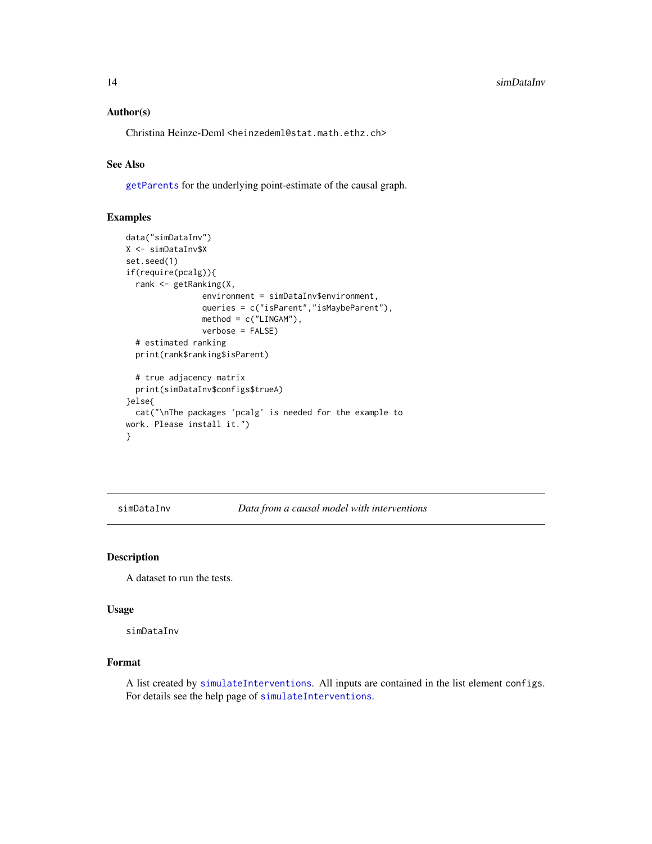#### <span id="page-13-0"></span>Author(s)

Christina Heinze-Deml <heinzedeml@stat.math.ethz.ch>

#### See Also

[getParents](#page-1-1) for the underlying point-estimate of the causal graph.

#### Examples

```
data("simDataInv")
X <- simDataInv$X
set.seed(1)
if(require(pcalg)){
  rank <- getRanking(X,
                environment = simDataInv$environment,
                queries = c("isParent","isMaybeParent"),
                method = c("LINGAM"),
                verbose = FALSE)
  # estimated ranking
  print(rank$ranking$isParent)
  # true adjacency matrix
  print(simDataInv$configs$trueA)
}else{
  cat("\nThe packages 'pcalg' is needed for the example to
work. Please install it.")
}
```
simDataInv *Data from a causal model with interventions*

#### Description

A dataset to run the tests.

#### Usage

simDataInv

#### Format

A list created by [simulateInterventions](#page-14-1). All inputs are contained in the list element configs. For details see the help page of [simulateInterventions](#page-14-1).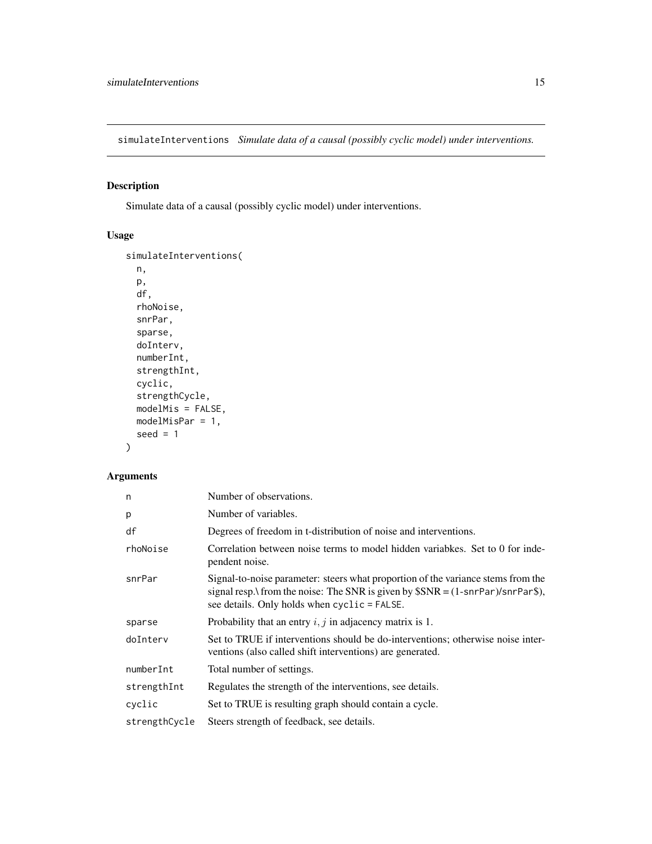<span id="page-14-1"></span><span id="page-14-0"></span>simulateInterventions *Simulate data of a causal (possibly cyclic model) under interventions.*

#### Description

Simulate data of a causal (possibly cyclic model) under interventions.

#### Usage

```
simulateInterventions(
 n,
 p,
 df,
 rhoNoise,
  snrPar,
  sparse,
 doInterv,
 numberInt,
 strengthInt,
 cyclic,
 strengthCycle,
 modelMis = FALSE,
 modelMisPar = 1,
 seed = 1\mathcal{L}
```

| n             | Number of observations.                                                                                                                                                                                            |
|---------------|--------------------------------------------------------------------------------------------------------------------------------------------------------------------------------------------------------------------|
| p             | Number of variables.                                                                                                                                                                                               |
| df            | Degrees of freedom in t-distribution of noise and interventions.                                                                                                                                                   |
| rhoNoise      | Correlation between noise terms to model hidden variabkes. Set to 0 for inde-<br>pendent noise.                                                                                                                    |
| snrPar        | Signal-to-noise parameter: steers what proportion of the variance stems from the<br>signal resp. from the noise: The SNR is given by $SSNR = (1-snrPar)/snrPar\$ ,<br>see details. Only holds when cyclic = FALSE. |
| sparse        | Probability that an entry $i, j$ in adjacency matrix is 1.                                                                                                                                                         |
| doInterv      | Set to TRUE if interventions should be do-interventions; otherwise noise inter-<br>ventions (also called shift interventions) are generated.                                                                       |
| numberInt     | Total number of settings.                                                                                                                                                                                          |
| strengthInt   | Regulates the strength of the interventions, see details.                                                                                                                                                          |
| cyclic        | Set to TRUE is resulting graph should contain a cycle.                                                                                                                                                             |
| strengthCycle | Steers strength of feedback, see details.                                                                                                                                                                          |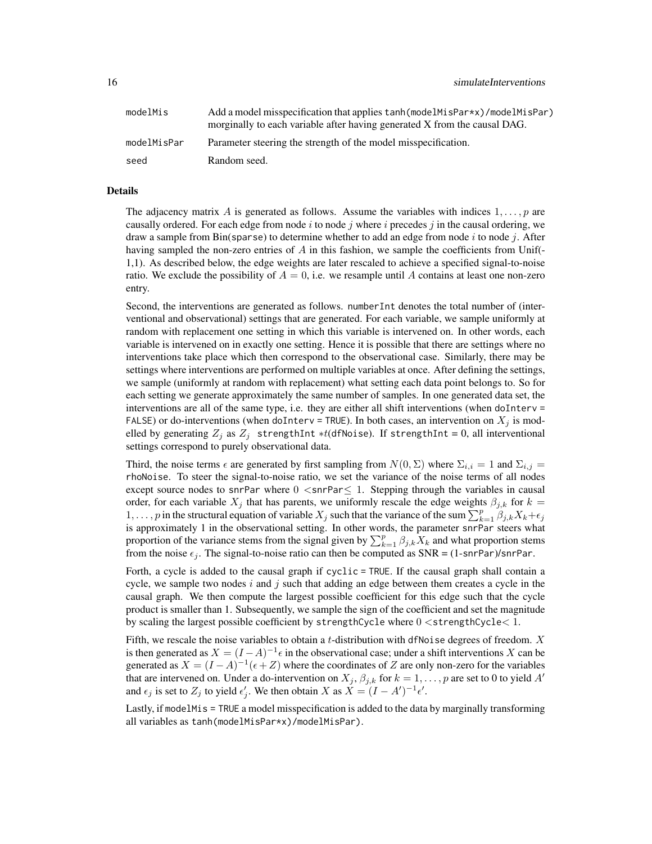| modelMis    | Add a model misspecification that applies tanh (model MisPar *x) / model MisPar)<br>morginally to each variable after having generated X from the causal DAG. |
|-------------|---------------------------------------------------------------------------------------------------------------------------------------------------------------|
| modelMisPar | Parameter steering the strength of the model misspecification.                                                                                                |
| seed        | Random seed.                                                                                                                                                  |

#### Details

The adjacency matrix A is generated as follows. Assume the variables with indices  $1, \ldots, p$  are causally ordered. For each edge from node i to node j where i precedes j in the causal ordering, we draw a sample from  $Bin(sparse)$  to determine whether to add an edge from node i to node j. After having sampled the non-zero entries of A in this fashion, we sample the coefficients from Unif(-1,1). As described below, the edge weights are later rescaled to achieve a specified signal-to-noise ratio. We exclude the possibility of  $A = 0$ , i.e. we resample until A contains at least one non-zero entry.

Second, the interventions are generated as follows. numberInt denotes the total number of (interventional and observational) settings that are generated. For each variable, we sample uniformly at random with replacement one setting in which this variable is intervened on. In other words, each variable is intervened on in exactly one setting. Hence it is possible that there are settings where no interventions take place which then correspond to the observational case. Similarly, there may be settings where interventions are performed on multiple variables at once. After defining the settings, we sample (uniformly at random with replacement) what setting each data point belongs to. So for each setting we generate approximately the same number of samples. In one generated data set, the interventions are all of the same type, i.e. they are either all shift interventions (when  $d$ oInterv = FALSE) or do-interventions (when doInterv = TRUE). In both cases, an intervention on  $X_i$  is modelled by generating  $Z_j$  as  $Z_j$  strengthInt ∗t(dfNoise). If strengthInt = 0, all interventional settings correspond to purely observational data.

Third, the noise terms  $\epsilon$  are generated by first sampling from  $N(0, \Sigma)$  where  $\Sigma_{i,i} = 1$  and  $\Sigma_{i,j} =$ rhoNoise. To steer the signal-to-noise ratio, we set the variance of the noise terms of all nodes except source nodes to snrPar where  $0 <$ snrPar $\leq 1$ . Stepping through the variables in causal order, for each variable  $X_j$  that has parents, we uniformly rescale the edge weights  $\beta_{j,k}$  for  $k =$ 1, ..., p in the structural equation of variable  $X_j$  such that the variance of the sum  $\sum_{k=1}^p \beta_{j,k} X_k + \epsilon_j$ is approximately 1 in the observational setting. In other words, the parameter snrPar steers what proportion of the variance stems from the signal given by  $\sum_{k=1}^{p} \beta_{j,k} X_k$  and what proportion stems from the noise  $\epsilon_j$ . The signal-to-noise ratio can then be computed as SNR = (1-snrPar)/snrPar.

Forth, a cycle is added to the causal graph if cyclic = TRUE. If the causal graph shall contain a cycle, we sample two nodes i and j such that adding an edge between them creates a cycle in the causal graph. We then compute the largest possible coefficient for this edge such that the cycle product is smaller than 1. Subsequently, we sample the sign of the coefficient and set the magnitude by scaling the largest possible coefficient by strengthCycle where  $0 <$ strengthCycle $<$  1.

Fifth, we rescale the noise variables to obtain a t-distribution with dfNoise degrees of freedom.  $X$ is then generated as  $X = (I - A)^{-1} \epsilon$  in the observational case; under a shift interventions X can be generated as  $X = (I - A)^{-1}(\epsilon + Z)$  where the coordinates of Z are only non-zero for the variables that are intervened on. Under a do-intervention on  $X_j$ ,  $\beta_{j,k}$  for  $k = 1, \ldots, p$  are set to 0 to yield A' and  $\epsilon_j$  is set to  $Z_j$  to yield  $\epsilon'_j$ . We then obtain X as  $X = (I - A')^{-1} \epsilon'.$ 

Lastly, if modelMis = TRUE a model misspecification is added to the data by marginally transforming all variables as tanh(modelMisPar\*x)/modelMisPar).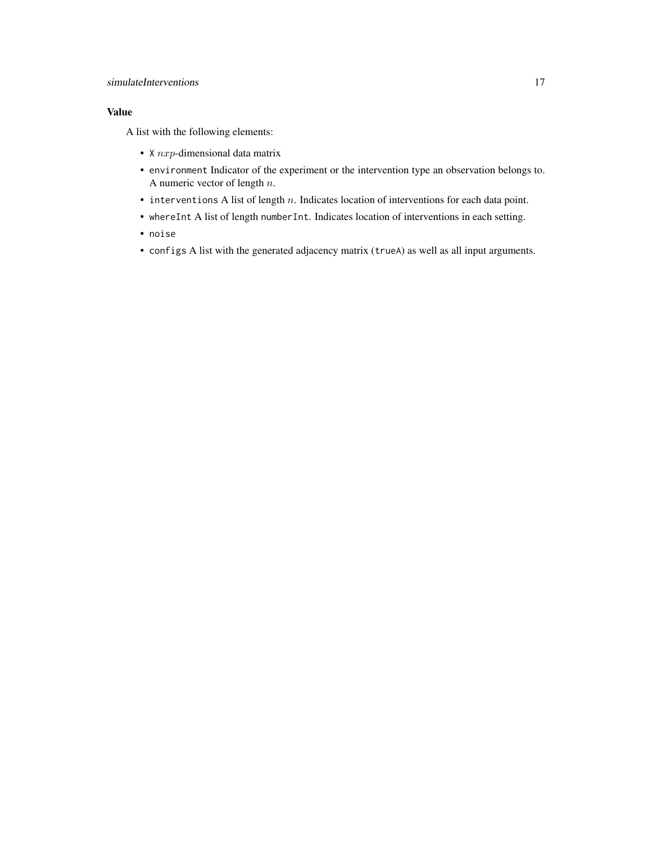#### simulateInterventions 17

#### Value

A list with the following elements:

- $X$  *nxp*-dimensional data matrix
- environment Indicator of the experiment or the intervention type an observation belongs to. A numeric vector of length n.
- $\bullet$  interventions A list of length n. Indicates location of interventions for each data point.
- whereInt A list of length numberInt. Indicates location of interventions in each setting.
- noise
- configs A list with the generated adjacency matrix (trueA) as well as all input arguments.